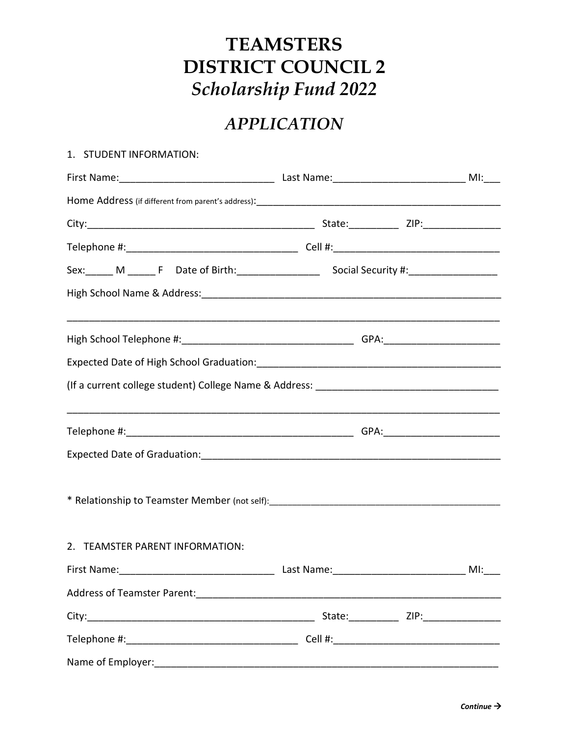## **TEAMSTERS DISTRICT COUNCIL 2** *Scholarship Fund 2022*

## *APPLICATION*

## 1. STUDENT INFORMATION:

| 2. TEAMSTER PARENT INFORMATION: |                                          |  |
|---------------------------------|------------------------------------------|--|
|                                 |                                          |  |
|                                 |                                          |  |
|                                 | State: ___________ ZIP: ________________ |  |
|                                 |                                          |  |
|                                 |                                          |  |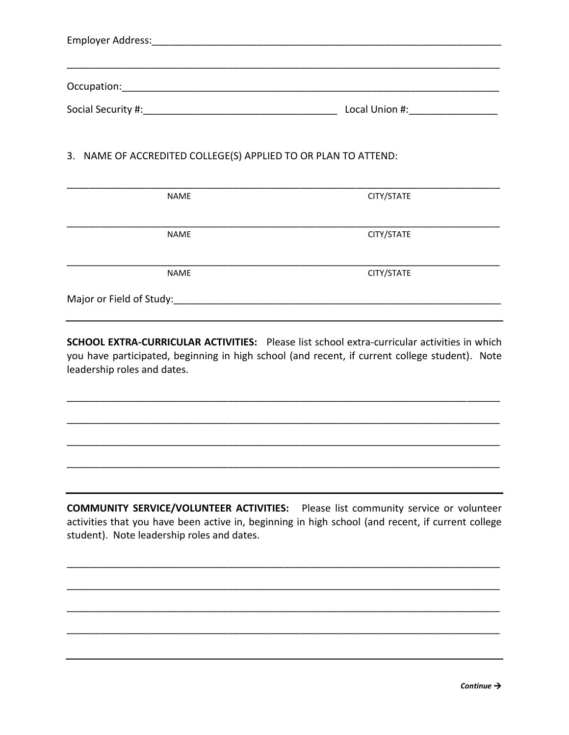| Occupation: and the control of the control of the control of the control of the control of the control of the control of the control of the control of the control of the control of the control of the control of the control |  |  |
|--------------------------------------------------------------------------------------------------------------------------------------------------------------------------------------------------------------------------------|--|--|
|                                                                                                                                                                                                                                |  |  |
| 3. NAME OF ACCREDITED COLLEGE(S) APPLIED TO OR PLAN TO ATTEND:                                                                                                                                                                 |  |  |

| <b>NAME</b>              | CITY/STATE |
|--------------------------|------------|
|                          |            |
|                          |            |
| <b>NAME</b>              | CITY/STATE |
|                          |            |
|                          |            |
| <b>NAME</b>              | CITY/STATE |
|                          |            |
| Major or Field of Study: |            |
|                          |            |

**SCHOOL EXTRA-CURRICULAR ACTIVITIES:** Please list school extra-curricular activities in which you have participated, beginning in high school (and recent, if current college student). Note leadership roles and dates.

\_\_\_\_\_\_\_\_\_\_\_\_\_\_\_\_\_\_\_\_\_\_\_\_\_\_\_\_\_\_\_\_\_\_\_\_\_\_\_\_\_\_\_\_\_\_\_\_\_\_\_\_\_\_\_\_\_\_\_\_\_\_\_\_\_\_\_\_\_\_\_\_\_\_\_\_\_\_

\_\_\_\_\_\_\_\_\_\_\_\_\_\_\_\_\_\_\_\_\_\_\_\_\_\_\_\_\_\_\_\_\_\_\_\_\_\_\_\_\_\_\_\_\_\_\_\_\_\_\_\_\_\_\_\_\_\_\_\_\_\_\_\_\_\_\_\_\_\_\_\_\_\_\_\_\_\_

\_\_\_\_\_\_\_\_\_\_\_\_\_\_\_\_\_\_\_\_\_\_\_\_\_\_\_\_\_\_\_\_\_\_\_\_\_\_\_\_\_\_\_\_\_\_\_\_\_\_\_\_\_\_\_\_\_\_\_\_\_\_\_\_\_\_\_\_\_\_\_\_\_\_\_\_\_\_

\_\_\_\_\_\_\_\_\_\_\_\_\_\_\_\_\_\_\_\_\_\_\_\_\_\_\_\_\_\_\_\_\_\_\_\_\_\_\_\_\_\_\_\_\_\_\_\_\_\_\_\_\_\_\_\_\_\_\_\_\_\_\_\_\_\_\_\_\_\_\_\_\_\_\_\_\_\_

**COMMUNITY SERVICE/VOLUNTEER ACTIVITIES:** Please list community service or volunteer activities that you have been active in, beginning in high school (and recent, if current college student). Note leadership roles and dates.

\_\_\_\_\_\_\_\_\_\_\_\_\_\_\_\_\_\_\_\_\_\_\_\_\_\_\_\_\_\_\_\_\_\_\_\_\_\_\_\_\_\_\_\_\_\_\_\_\_\_\_\_\_\_\_\_\_\_\_\_\_\_\_\_\_\_\_\_\_\_\_\_\_\_\_\_\_\_

\_\_\_\_\_\_\_\_\_\_\_\_\_\_\_\_\_\_\_\_\_\_\_\_\_\_\_\_\_\_\_\_\_\_\_\_\_\_\_\_\_\_\_\_\_\_\_\_\_\_\_\_\_\_\_\_\_\_\_\_\_\_\_\_\_\_\_\_\_\_\_\_\_\_\_\_\_\_

\_\_\_\_\_\_\_\_\_\_\_\_\_\_\_\_\_\_\_\_\_\_\_\_\_\_\_\_\_\_\_\_\_\_\_\_\_\_\_\_\_\_\_\_\_\_\_\_\_\_\_\_\_\_\_\_\_\_\_\_\_\_\_\_\_\_\_\_\_\_\_\_\_\_\_\_\_\_

\_\_\_\_\_\_\_\_\_\_\_\_\_\_\_\_\_\_\_\_\_\_\_\_\_\_\_\_\_\_\_\_\_\_\_\_\_\_\_\_\_\_\_\_\_\_\_\_\_\_\_\_\_\_\_\_\_\_\_\_\_\_\_\_\_\_\_\_\_\_\_\_\_\_\_\_\_\_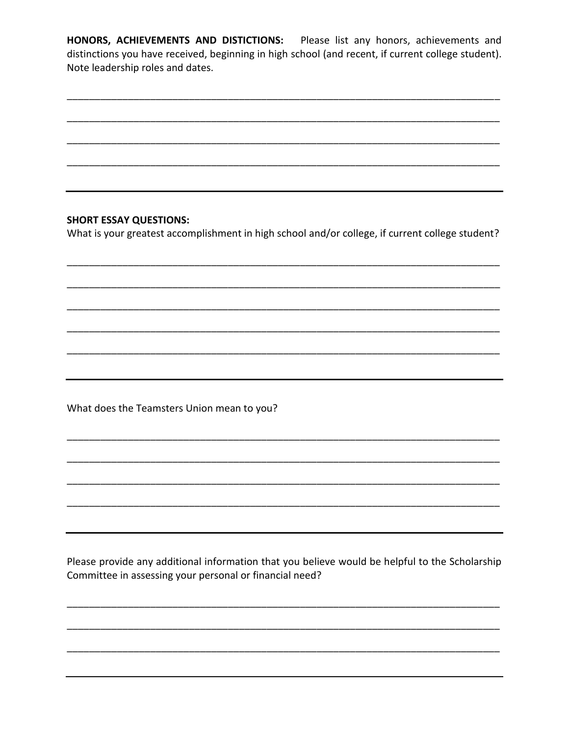HONORS, ACHIEVEMENTS AND DISTICTIONS: Please list any honors, achievements and distinctions you have received, beginning in high school (and recent, if current college student). Note leadership roles and dates.

## **SHORT ESSAY QUESTIONS:**

What is your greatest accomplishment in high school and/or college, if current college student?

What does the Teamsters Union mean to you?

Please provide any additional information that you believe would be helpful to the Scholarship Committee in assessing your personal or financial need?